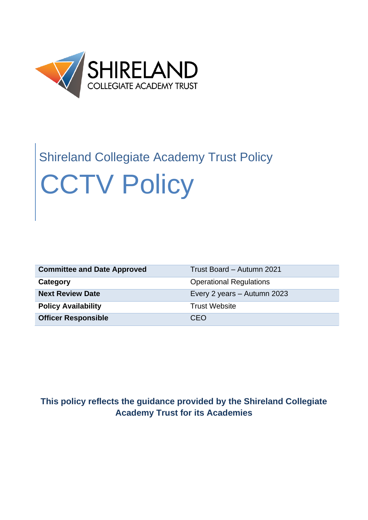

# Shireland Collegiate Academy Trust Policy CCTV Policy

| <b>Committee and Date Approved</b> | Trust Board - Autumn 2021      |
|------------------------------------|--------------------------------|
| Category                           | <b>Operational Regulations</b> |
| <b>Next Review Date</b>            | Every 2 years - Autumn 2023    |
| <b>Policy Availability</b>         | <b>Trust Website</b>           |
| <b>Officer Responsible</b>         | CEO                            |

# **This policy reflects the guidance provided by the Shireland Collegiate Academy Trust for its Academies**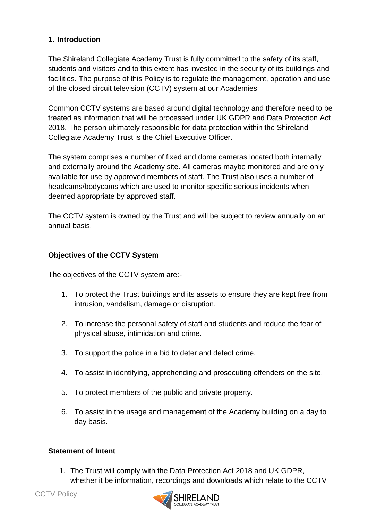## **1. Introduction**

The Shireland Collegiate Academy Trust is fully committed to the safety of its staff, students and visitors and to this extent has invested in the security of its buildings and facilities. The purpose of this Policy is to regulate the management, operation and use of the closed circuit television (CCTV) system at our Academies

Common CCTV systems are based around digital technology and therefore need to be treated as information that will be processed under UK GDPR and Data Protection Act 2018. The person ultimately responsible for data protection within the Shireland Collegiate Academy Trust is the Chief Executive Officer.

The system comprises a number of fixed and dome cameras located both internally and externally around the Academy site. All cameras maybe monitored and are only available for use by approved members of staff. The Trust also uses a number of headcams/bodycams which are used to monitor specific serious incidents when deemed appropriate by approved staff.

The CCTV system is owned by the Trust and will be subject to review annually on an annual basis.

#### **Objectives of the CCTV System**

The objectives of the CCTV system are:-

- 1. To protect the Trust buildings and its assets to ensure they are kept free from intrusion, vandalism, damage or disruption.
- 2. To increase the personal safety of staff and students and reduce the fear of physical abuse, intimidation and crime.
- 3. To support the police in a bid to deter and detect crime.
- 4. To assist in identifying, apprehending and prosecuting offenders on the site.
- 5. To protect members of the public and private property.
- 6. To assist in the usage and management of the Academy building on a day to day basis.

#### **Statement of Intent**

1. The Trust will comply with the Data Protection Act 2018 and UK GDPR, whether it be information, recordings and downloads which relate to the CCTV

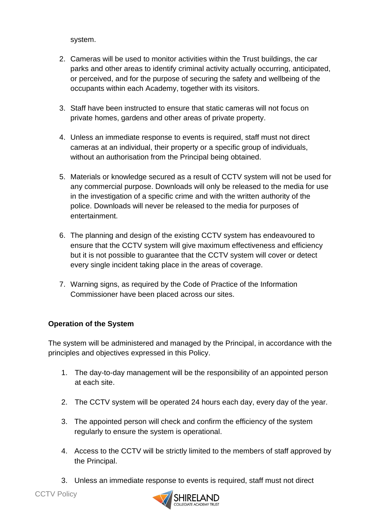system.

- 2. Cameras will be used to monitor activities within the Trust buildings, the car parks and other areas to identify criminal activity actually occurring, anticipated, or perceived, and for the purpose of securing the safety and wellbeing of the occupants within each Academy, together with its visitors.
- 3. Staff have been instructed to ensure that static cameras will not focus on private homes, gardens and other areas of private property.
- 4. Unless an immediate response to events is required, staff must not direct cameras at an individual, their property or a specific group of individuals, without an authorisation from the Principal being obtained.
- 5. Materials or knowledge secured as a result of CCTV system will not be used for any commercial purpose. Downloads will only be released to the media for use in the investigation of a specific crime and with the written authority of the police. Downloads will never be released to the media for purposes of entertainment.
- 6. The planning and design of the existing CCTV system has endeavoured to ensure that the CCTV system will give maximum effectiveness and efficiency but it is not possible to guarantee that the CCTV system will cover or detect every single incident taking place in the areas of coverage.
- 7. Warning signs, as required by the Code of Practice of the Information Commissioner have been placed across our sites.

## **Operation of the System**

The system will be administered and managed by the Principal, in accordance with the principles and objectives expressed in this Policy.

- 1. The day-to-day management will be the responsibility of an appointed person at each site.
- 2. The CCTV system will be operated 24 hours each day, every day of the year.
- 3. The appointed person will check and confirm the efficiency of the system regularly to ensure the system is operational.
- 4. Access to the CCTV will be strictly limited to the members of staff approved by the Principal.
- 3. Unless an immediate response to events is required, staff must not direct

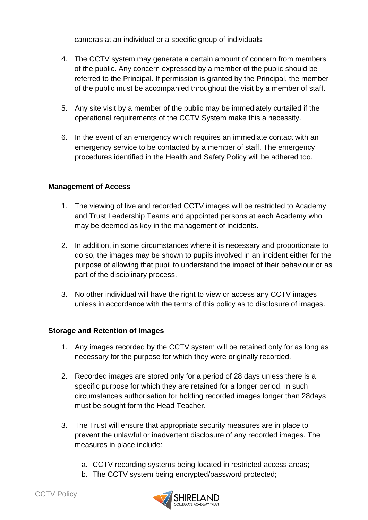cameras at an individual or a specific group of individuals.

- 4. The CCTV system may generate a certain amount of concern from members of the public. Any concern expressed by a member of the public should be referred to the Principal. If permission is granted by the Principal, the member of the public must be accompanied throughout the visit by a member of staff.
- 5. Any site visit by a member of the public may be immediately curtailed if the operational requirements of the CCTV System make this a necessity.
- 6. In the event of an emergency which requires an immediate contact with an emergency service to be contacted by a member of staff. The emergency procedures identified in the Health and Safety Policy will be adhered too.

#### **Management of Access**

- 1. The viewing of live and recorded CCTV images will be restricted to Academy and Trust Leadership Teams and appointed persons at each Academy who may be deemed as key in the management of incidents.
- 2. In addition, in some circumstances where it is necessary and proportionate to do so, the images may be shown to pupils involved in an incident either for the purpose of allowing that pupil to understand the impact of their behaviour or as part of the disciplinary process.
- 3. No other individual will have the right to view or access any CCTV images unless in accordance with the terms of this policy as to disclosure of images.

#### **Storage and Retention of Images**

- 1. Any images recorded by the CCTV system will be retained only for as long as necessary for the purpose for which they were originally recorded.
- 2. Recorded images are stored only for a period of 28 days unless there is a specific purpose for which they are retained for a longer period. In such circumstances authorisation for holding recorded images longer than 28days must be sought form the Head Teacher.
- 3. The Trust will ensure that appropriate security measures are in place to prevent the unlawful or inadvertent disclosure of any recorded images. The measures in place include:
	- a. CCTV recording systems being located in restricted access areas;
	- b. The CCTV system being encrypted/password protected;

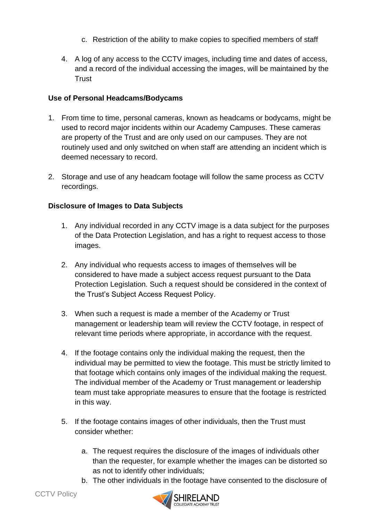- c. Restriction of the ability to make copies to specified members of staff
- 4. A log of any access to the CCTV images, including time and dates of access, and a record of the individual accessing the images, will be maintained by the **Trust**

#### **Use of Personal Headcams/Bodycams**

- 1. From time to time, personal cameras, known as headcams or bodycams, might be used to record major incidents within our Academy Campuses. These cameras are property of the Trust and are only used on our campuses. They are not routinely used and only switched on when staff are attending an incident which is deemed necessary to record.
- 2. Storage and use of any headcam footage will follow the same process as CCTV recordings.

#### **Disclosure of Images to Data Subjects**

- 1. Any individual recorded in any CCTV image is a data subject for the purposes of the Data Protection Legislation, and has a right to request access to those images.
- 2. Any individual who requests access to images of themselves will be considered to have made a subject access request pursuant to the Data Protection Legislation. Such a request should be considered in the context of the Trust's Subject Access Request Policy.
- 3. When such a request is made a member of the Academy or Trust management or leadership team will review the CCTV footage, in respect of relevant time periods where appropriate, in accordance with the request.
- 4. If the footage contains only the individual making the request, then the individual may be permitted to view the footage. This must be strictly limited to that footage which contains only images of the individual making the request. The individual member of the Academy or Trust management or leadership team must take appropriate measures to ensure that the footage is restricted in this way.
- 5. If the footage contains images of other individuals, then the Trust must consider whether:
	- a. The request requires the disclosure of the images of individuals other than the requester, for example whether the images can be distorted so as not to identify other individuals;
	- b. The other individuals in the footage have consented to the disclosure of

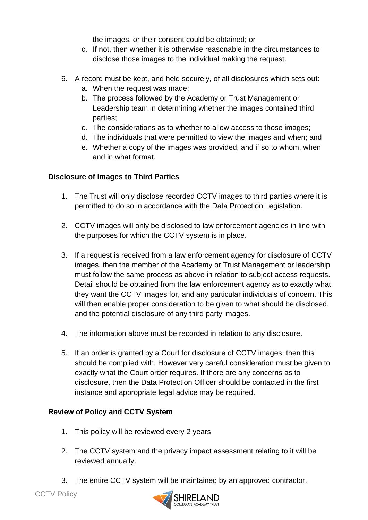the images, or their consent could be obtained; or

- c. If not, then whether it is otherwise reasonable in the circumstances to disclose those images to the individual making the request.
- 6. A record must be kept, and held securely, of all disclosures which sets out:
	- a. When the request was made;
	- b. The process followed by the Academy or Trust Management or Leadership team in determining whether the images contained third parties;
	- c. The considerations as to whether to allow access to those images;
	- d. The individuals that were permitted to view the images and when; and
	- e. Whether a copy of the images was provided, and if so to whom, when and in what format.

### **Disclosure of Images to Third Parties**

- 1. The Trust will only disclose recorded CCTV images to third parties where it is permitted to do so in accordance with the Data Protection Legislation.
- 2. CCTV images will only be disclosed to law enforcement agencies in line with the purposes for which the CCTV system is in place.
- 3. If a request is received from a law enforcement agency for disclosure of CCTV images, then the member of the Academy or Trust Management or leadership must follow the same process as above in relation to subject access requests. Detail should be obtained from the law enforcement agency as to exactly what they want the CCTV images for, and any particular individuals of concern. This will then enable proper consideration to be given to what should be disclosed, and the potential disclosure of any third party images.
- 4. The information above must be recorded in relation to any disclosure.
- 5. If an order is granted by a Court for disclosure of CCTV images, then this should be complied with. However very careful consideration must be given to exactly what the Court order requires. If there are any concerns as to disclosure, then the Data Protection Officer should be contacted in the first instance and appropriate legal advice may be required.

#### **Review of Policy and CCTV System**

- 1. This policy will be reviewed every 2 years
- 2. The CCTV system and the privacy impact assessment relating to it will be reviewed annually.
- 3. The entire CCTV system will be maintained by an approved contractor.

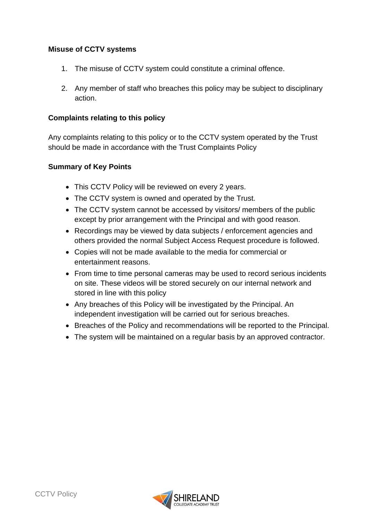#### **Misuse of CCTV systems**

- 1. The misuse of CCTV system could constitute a criminal offence.
- 2. Any member of staff who breaches this policy may be subject to disciplinary action.

#### **Complaints relating to this policy**

Any complaints relating to this policy or to the CCTV system operated by the Trust should be made in accordance with the Trust Complaints Policy

#### **Summary of Key Points**

- This CCTV Policy will be reviewed on every 2 years.
- The CCTV system is owned and operated by the Trust.
- The CCTV system cannot be accessed by visitors/ members of the public except by prior arrangement with the Principal and with good reason.
- Recordings may be viewed by data subjects / enforcement agencies and others provided the normal Subject Access Request procedure is followed.
- Copies will not be made available to the media for commercial or entertainment reasons.
- From time to time personal cameras may be used to record serious incidents on site. These videos will be stored securely on our internal network and stored in line with this policy
- Any breaches of this Policy will be investigated by the Principal. An independent investigation will be carried out for serious breaches.
- Breaches of the Policy and recommendations will be reported to the Principal.
- The system will be maintained on a regular basis by an approved contractor.